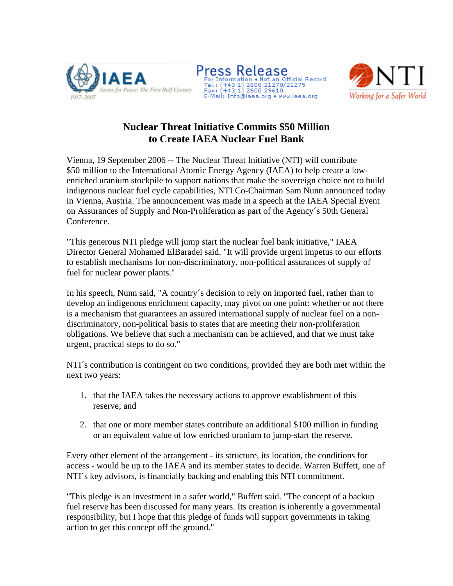





## **Nuclear Threat Initiative Commits \$50 Million to Create IAEA Nuclear Fuel Bank**

Vienna, 19 September 2006 -- The Nuclear Threat Initiative (NTI) will contribute \$50 million to the International Atomic Energy Agency (IAEA) to help create a lowenriched uranium stockpile to support nations that make the sovereign choice not to build indigenous nuclear fuel cycle capabilities, NTI Co-Chairman Sam Nunn announced today in Vienna, Austria. The announcement was made in a speech at the IAEA Special Event on Assurances of Supply and Non-Proliferation as part of the Agency´s 50th General Conference.

"This generous NTI pledge will jump start the nuclear fuel bank initiative," IAEA Director General Mohamed ElBaradei said. "It will provide urgent impetus to our efforts to establish mechanisms for non-discriminatory, non-political assurances of supply of fuel for nuclear power plants."

In his speech, Nunn said, "A country´s decision to rely on imported fuel, rather than to develop an indigenous enrichment capacity, may pivot on one point: whether or not there is a mechanism that guarantees an assured international supply of nuclear fuel on a nondiscriminatory, non-political basis to states that are meeting their non-proliferation obligations. We believe that such a mechanism can be achieved, and that we must take urgent, practical steps to do so."

NTI´s contribution is contingent on two conditions, provided they are both met within the next two years:

- 1. that the IAEA takes the necessary actions to approve establishment of this reserve; and
- 2. that one or more member states contribute an additional \$100 million in funding or an equivalent value of low enriched uranium to jump-start the reserve.

Every other element of the arrangement - its structure, its location, the conditions for access - would be up to the IAEA and its member states to decide. Warren Buffett, one of NTI´s key advisors, is financially backing and enabling this NTI commitment.

"This pledge is an investment in a safer world," Buffett said. "The concept of a backup fuel reserve has been discussed for many years. Its creation is inherently a governmental responsibility, but I hope that this pledge of funds will support governments in taking action to get this concept off the ground."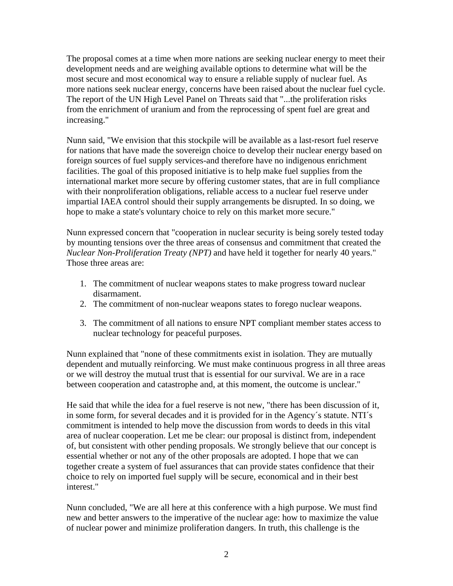The proposal comes at a time when more nations are seeking nuclear energy to meet their development needs and are weighing available options to determine what will be the most secure and most economical way to ensure a reliable supply of nuclear fuel. As more nations seek nuclear energy, concerns have been raised about the nuclear fuel cycle. The report of the UN High Level Panel on Threats said that "...the proliferation risks from the enrichment of uranium and from the reprocessing of spent fuel are great and increasing."

Nunn said, "We envision that this stockpile will be available as a last-resort fuel reserve for nations that have made the sovereign choice to develop their nuclear energy based on foreign sources of fuel supply services-and therefore have no indigenous enrichment facilities. The goal of this proposed initiative is to help make fuel supplies from the international market more secure by offering customer states, that are in full compliance with their nonproliferation obligations, reliable access to a nuclear fuel reserve under impartial IAEA control should their supply arrangements be disrupted. In so doing, we hope to make a state's voluntary choice to rely on this market more secure."

Nunn expressed concern that "cooperation in nuclear security is being sorely tested today by mounting tensions over the three areas of consensus and commitment that created the *Nuclear Non-Proliferation Treaty (NPT)* and have held it together for nearly 40 years." Those three areas are:

- 1. The commitment of nuclear weapons states to make progress toward nuclear disarmament.
- 2. The commitment of non-nuclear weapons states to forego nuclear weapons.
- 3. The commitment of all nations to ensure NPT compliant member states access to nuclear technology for peaceful purposes.

Nunn explained that "none of these commitments exist in isolation. They are mutually dependent and mutually reinforcing. We must make continuous progress in all three areas or we will destroy the mutual trust that is essential for our survival. We are in a race between cooperation and catastrophe and, at this moment, the outcome is unclear."

He said that while the idea for a fuel reserve is not new, "there has been discussion of it, in some form, for several decades and it is provided for in the Agency´s statute. NTI´s commitment is intended to help move the discussion from words to deeds in this vital area of nuclear cooperation. Let me be clear: our proposal is distinct from, independent of, but consistent with other pending proposals. We strongly believe that our concept is essential whether or not any of the other proposals are adopted. I hope that we can together create a system of fuel assurances that can provide states confidence that their choice to rely on imported fuel supply will be secure, economical and in their best interest."

Nunn concluded, "We are all here at this conference with a high purpose. We must find new and better answers to the imperative of the nuclear age: how to maximize the value of nuclear power and minimize proliferation dangers. In truth, this challenge is the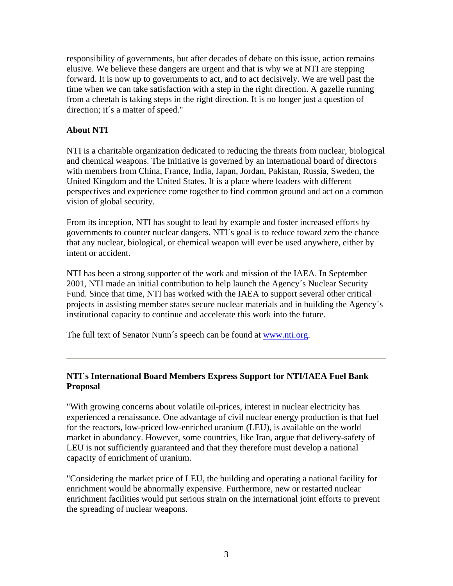responsibility of governments, but after decades of debate on this issue, action remains elusive. We believe these dangers are urgent and that is why we at NTI are stepping forward. It is now up to governments to act, and to act decisively. We are well past the time when we can take satisfaction with a step in the right direction. A gazelle running from a cheetah is taking steps in the right direction. It is no longer just a question of direction; it´s a matter of speed."

#### **About NTI**

NTI is a charitable organization dedicated to reducing the threats from nuclear, biological and chemical weapons. The Initiative is governed by an international board of directors with members from China, France, India, Japan, Jordan, Pakistan, Russia, Sweden, the United Kingdom and the United States. It is a place where leaders with different perspectives and experience come together to find common ground and act on a common vision of global security.

From its inception, NTI has sought to lead by example and foster increased efforts by governments to counter nuclear dangers. NTI´s goal is to reduce toward zero the chance that any nuclear, biological, or chemical weapon will ever be used anywhere, either by intent or accident.

NTI has been a strong supporter of the work and mission of the IAEA. In September 2001, NTI made an initial contribution to help launch the Agency´s Nuclear Security Fund. Since that time, NTI has worked with the IAEA to support several other critical projects in assisting member states secure nuclear materials and in building the Agency´s institutional capacity to continue and accelerate this work into the future.

The full text of Senator Nunn´s speech can be found at www.nti.org.

#### **NTI´s International Board Members Express Support for NTI/IAEA Fuel Bank Proposal**

"With growing concerns about volatile oil-prices, interest in nuclear electricity has experienced a renaissance. One advantage of civil nuclear energy production is that fuel for the reactors, low-priced low-enriched uranium (LEU), is available on the world market in abundancy. However, some countries, like Iran, argue that delivery-safety of LEU is not sufficiently guaranteed and that they therefore must develop a national capacity of enrichment of uranium.

"Considering the market price of LEU, the building and operating a national facility for enrichment would be abnormally expensive. Furthermore, new or restarted nuclear enrichment facilities would put serious strain on the international joint efforts to prevent the spreading of nuclear weapons.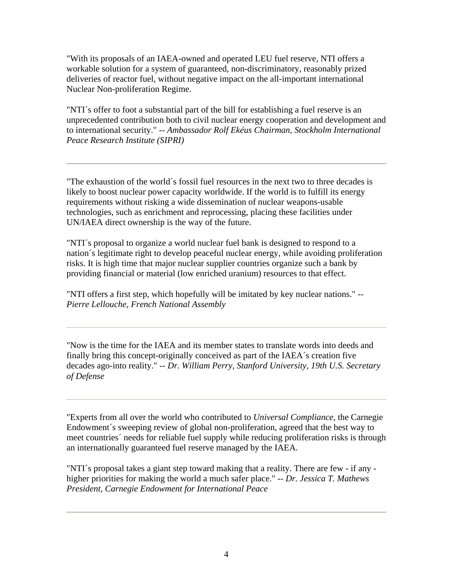"With its proposals of an IAEA-owned and operated LEU fuel reserve, NTI offers a workable solution for a system of guaranteed, non-discriminatory, reasonably prized deliveries of reactor fuel, without negative impact on the all-important international Nuclear Non-proliferation Regime.

"NTI´s offer to foot a substantial part of the bill for establishing a fuel reserve is an unprecedented contribution both to civil nuclear energy cooperation and development and to international security." *-- Ambassador Rolf Ekéus Chairman, Stockholm International Peace Research Institute (SIPRI)*

"The exhaustion of the world´s fossil fuel resources in the next two to three decades is likely to boost nuclear power capacity worldwide. If the world is to fulfill its energy requirements without risking a wide dissemination of nuclear weapons-usable technologies, such as enrichment and reprocessing, placing these facilities under UN/IAEA direct ownership is the way of the future.

"NTI´s proposal to organize a world nuclear fuel bank is designed to respond to a nation´s legitimate right to develop peaceful nuclear energy, while avoiding proliferation risks. It is high time that major nuclear supplier countries organize such a bank by providing financial or material (low enriched uranium) resources to that effect.

"NTI offers a first step, which hopefully will be imitated by key nuclear nations." *-- Pierre Lellouche, French National Assembly*

"Now is the time for the IAEA and its member states to translate words into deeds and finally bring this concept-originally conceived as part of the IAEA´s creation five decades ago-into reality." *-- Dr. William Perry, Stanford University, 19th U.S. Secretary of Defense*

"Experts from all over the world who contributed to *Universal Compliance*, the Carnegie Endowment´s sweeping review of global non-proliferation, agreed that the best way to meet countries´ needs for reliable fuel supply while reducing proliferation risks is through an internationally guaranteed fuel reserve managed by the IAEA.

"NTI´s proposal takes a giant step toward making that a reality. There are few - if any higher priorities for making the world a much safer place." *-- Dr. Jessica T. Mathews President, Carnegie Endowment for International Peace*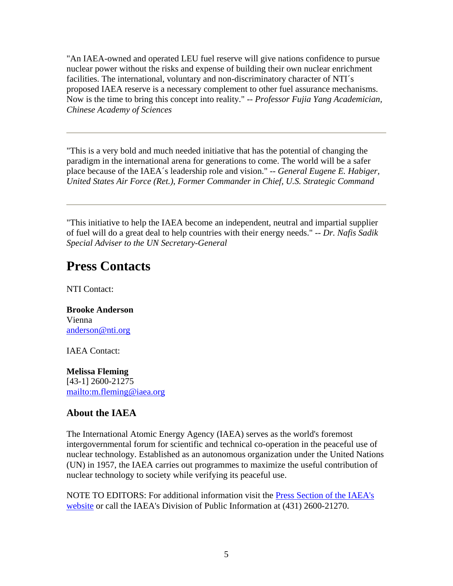"An IAEA-owned and operated LEU fuel reserve will give nations confidence to pursue nuclear power without the risks and expense of building their own nuclear enrichment facilities. The international, voluntary and non-discriminatory character of NTI´s proposed IAEA reserve is a necessary complement to other fuel assurance mechanisms. Now is the time to bring this concept into reality." *-- Professor Fujia Yang Academician, Chinese Academy of Sciences*

"This is a very bold and much needed initiative that has the potential of changing the paradigm in the international arena for generations to come. The world will be a safer place because of the IAEA´s leadership role and vision." *-- General Eugene E. Habiger, United States Air Force (Ret.), Former Commander in Chief, U.S. Strategic Command*

"This initiative to help the IAEA become an independent, neutral and impartial supplier of fuel will do a great deal to help countries with their energy needs." *-- Dr. Nafis Sadik Special Adviser to the UN Secretary-General*

# **Press Contacts**

NTI Contact:

**Brooke Anderson** Vienna anderson@nti.org

IAEA Contact:

**Melissa Fleming** [43-1] 2600-21275 mailto:m.fleming@iaea.org

### **About the IAEA**

The International Atomic Energy Agency (IAEA) serves as the world's foremost intergovernmental forum for scientific and technical co-operation in the peaceful use of nuclear technology. Established as an autonomous organization under the United Nations (UN) in 1957, the IAEA carries out programmes to maximize the useful contribution of nuclear technology to society while verifying its peaceful use.

NOTE TO EDITORS: For additional information visit the Press Section of the IAEA's website or call the IAEA's Division of Public Information at (431) 2600-21270.